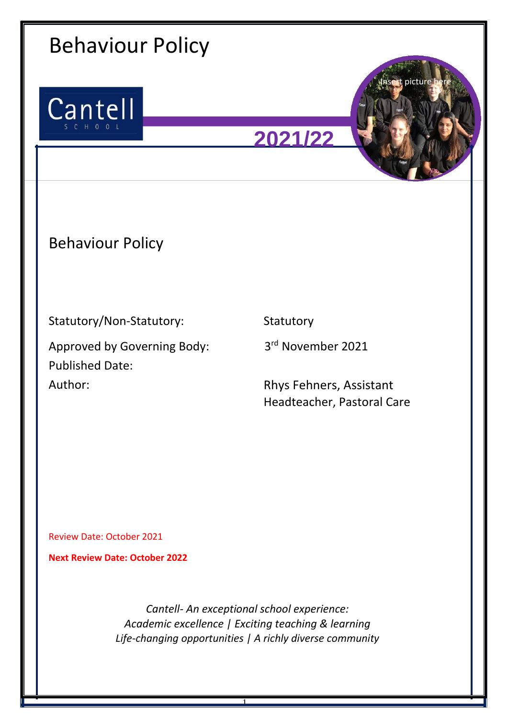

1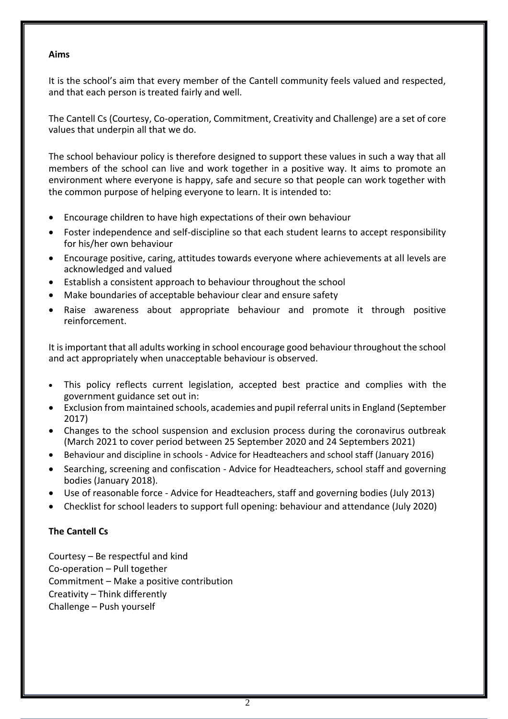### **Aims**

It is the school's aim that every member of the Cantell community feels valued and respected, and that each person is treated fairly and well.

The Cantell Cs (Courtesy, Co-operation, Commitment, Creativity and Challenge) are a set of core values that underpin all that we do.

The school behaviour policy is therefore designed to support these values in such a way that all members of the school can live and work together in a positive way. It aims to promote an environment where everyone is happy, safe and secure so that people can work together with the common purpose of helping everyone to learn. It is intended to:

- Encourage children to have high expectations of their own behaviour
- Foster independence and self-discipline so that each student learns to accept responsibility for his/her own behaviour
- Encourage positive, caring, attitudes towards everyone where achievements at all levels are acknowledged and valued
- Establish a consistent approach to behaviour throughout the school
- Make boundaries of acceptable behaviour clear and ensure safety
- Raise awareness about appropriate behaviour and promote it through positive reinforcement.

It is important that all adults working in school encourage good behaviour throughout the school and act appropriately when unacceptable behaviour is observed.

- This policy reflects current legislation, accepted best practice and complies with the government guidance set out in:
- Exclusion from maintained schools, academies and pupil referral units in England (September 2017)
- Changes to the school suspension and exclusion process during the coronavirus outbreak (March 2021 to cover period between 25 September 2020 and 24 Septembers 2021)
- Behaviour and discipline in schools Advice for Headteachers and school staff (January 2016)
- Searching, screening and confiscation Advice for Headteachers, school staff and governing bodies (January 2018).
- Use of reasonable force Advice for Headteachers, staff and governing bodies (July 2013)
- Checklist for school leaders to support full opening: behaviour and attendance (July 2020)

# **The Cantell Cs**

Courtesy – Be respectful and kind Co-operation – Pull together Commitment – Make a positive contribution Creativity – Think differently Challenge – Push yourself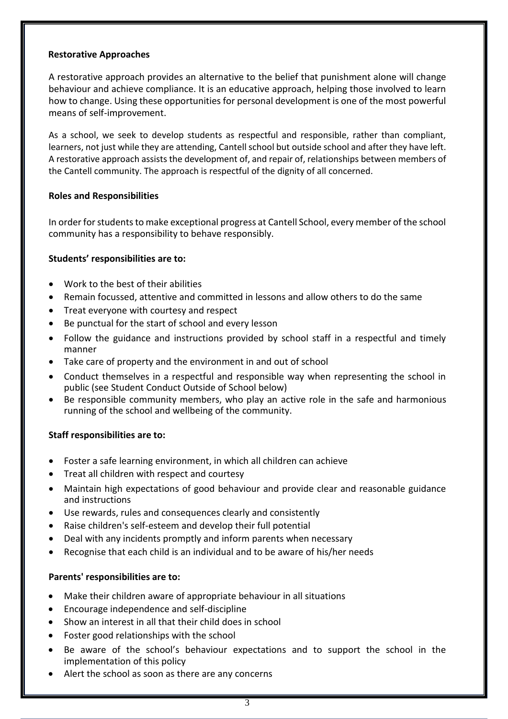### **Restorative Approaches**

A restorative approach provides an alternative to the belief that punishment alone will change behaviour and achieve compliance. It is an educative approach, helping those involved to learn how to change. Using these opportunities for personal development is one of the most powerful means of self-improvement.

As a school, we seek to develop students as respectful and responsible, rather than compliant, learners, not just while they are attending, Cantell school but outside school and after they have left. A restorative approach assists the development of, and repair of, relationships between members of the Cantell community. The approach is respectful of the dignity of all concerned.

### **Roles and Responsibilities**

In order for students to make exceptional progress at Cantell School, every member of the school community has a responsibility to behave responsibly.

### **Students' responsibilities are to:**

- Work to the best of their abilities
- Remain focussed, attentive and committed in lessons and allow others to do the same
- Treat everyone with courtesy and respect
- Be punctual for the start of school and every lesson
- Follow the guidance and instructions provided by school staff in a respectful and timely manner
- Take care of property and the environment in and out of school
- Conduct themselves in a respectful and responsible way when representing the school in public (see Student Conduct Outside of School below)
- Be responsible community members, who play an active role in the safe and harmonious running of the school and wellbeing of the community.

## **Staff responsibilities are to:**

- Foster a safe learning environment, in which all children can achieve
- Treat all children with respect and courtesy
- Maintain high expectations of good behaviour and provide clear and reasonable guidance and instructions
- Use rewards, rules and consequences clearly and consistently
- Raise children's self-esteem and develop their full potential
- Deal with any incidents promptly and inform parents when necessary
- Recognise that each child is an individual and to be aware of his/her needs

#### **Parents' responsibilities are to:**

- Make their children aware of appropriate behaviour in all situations
- Encourage independence and self-discipline
- Show an interest in all that their child does in school
- Foster good relationships with the school
- Be aware of the school's behaviour expectations and to support the school in the implementation of this policy
- Alert the school as soon as there are any concerns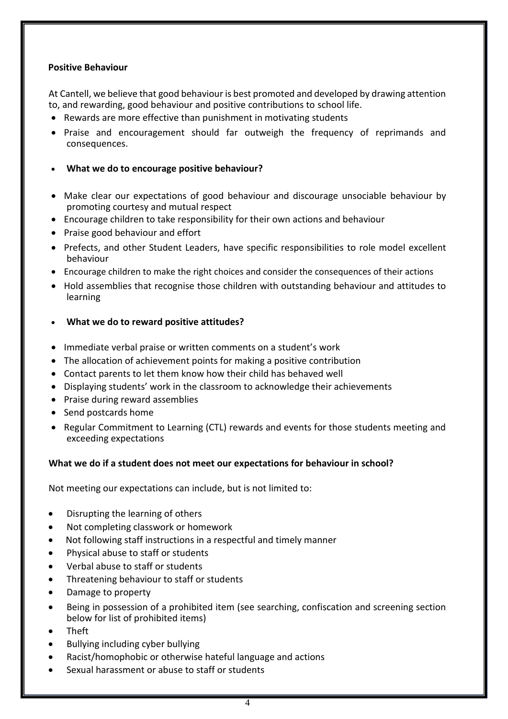### **Positive Behaviour**

At Cantell, we believe that good behaviour is best promoted and developed by drawing attention to, and rewarding, good behaviour and positive contributions to school life.

- Rewards are more effective than punishment in motivating students
- Praise and encouragement should far outweigh the frequency of reprimands and consequences.
- **What we do to encourage positive behaviour?**
- Make clear our expectations of good behaviour and discourage unsociable behaviour by promoting courtesy and mutual respect
- Encourage children to take responsibility for their own actions and behaviour
- Praise good behaviour and effort
- Prefects, and other Student Leaders, have specific responsibilities to role model excellent behaviour
- Encourage children to make the right choices and consider the consequences of their actions
- Hold assemblies that recognise those children with outstanding behaviour and attitudes to learning
- **What we do to reward positive attitudes?**
- Immediate verbal praise or written comments on a student's work
- The allocation of achievement points for making a positive contribution
- Contact parents to let them know how their child has behaved well
- Displaying students' work in the classroom to acknowledge their achievements
- Praise during reward assemblies
- Send postcards home
- Regular Commitment to Learning (CTL) rewards and events for those students meeting and exceeding expectations

## **What we do if a student does not meet our expectations for behaviour in school?**

Not meeting our expectations can include, but is not limited to:

- Disrupting the learning of others
- Not completing classwork or homework
- Not following staff instructions in a respectful and timely manner
- Physical abuse to staff or students
- Verbal abuse to staff or students
- Threatening behaviour to staff or students
- Damage to property
- Being in possession of a prohibited item (see searching, confiscation and screening section below for list of prohibited items)
- Theft
- Bullying including cyber bullying
- Racist/homophobic or otherwise hateful language and actions
- Sexual harassment or abuse to staff or students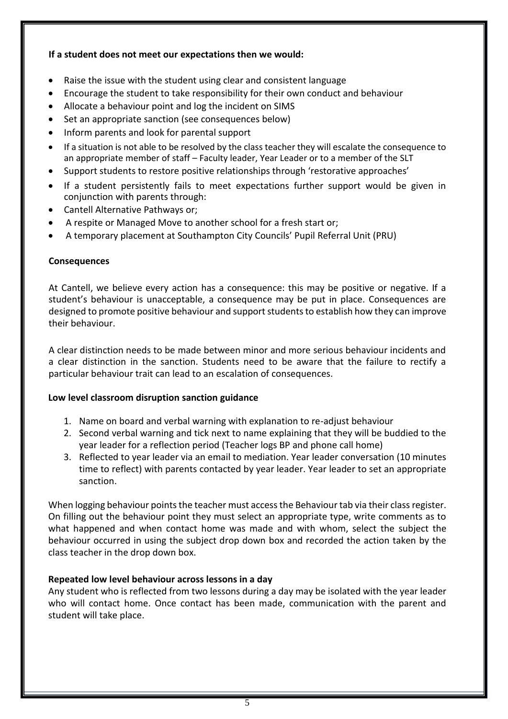## **If a student does not meet our expectations then we would:**

- Raise the issue with the student using clear and consistent language
- Encourage the student to take responsibility for their own conduct and behaviour
- Allocate a behaviour point and log the incident on SIMS
- Set an appropriate sanction (see consequences below)
- Inform parents and look for parental support
- If a situation is not able to be resolved by the class teacher they will escalate the consequence to an appropriate member of staff – Faculty leader, Year Leader or to a member of the SLT
- Support students to restore positive relationships through 'restorative approaches'
- If a student persistently fails to meet expectations further support would be given in conjunction with parents through:
- Cantell Alternative Pathways or;
- A respite or Managed Move to another school for a fresh start or;
- A temporary placement at Southampton City Councils' Pupil Referral Unit (PRU)

#### **Consequences**

At Cantell, we believe every action has a consequence: this may be positive or negative. If a student's behaviour is unacceptable, a consequence may be put in place. Consequences are designed to promote positive behaviour and support students to establish how they can improve their behaviour.

A clear distinction needs to be made between minor and more serious behaviour incidents and a clear distinction in the sanction. Students need to be aware that the failure to rectify a particular behaviour trait can lead to an escalation of consequences.

#### **Low level classroom disruption sanction guidance**

- 1. Name on board and verbal warning with explanation to re-adjust behaviour
- 2. Second verbal warning and tick next to name explaining that they will be buddied to the year leader for a reflection period (Teacher logs BP and phone call home)
- 3. Reflected to year leader via an email to mediation. Year leader conversation (10 minutes time to reflect) with parents contacted by year leader. Year leader to set an appropriate sanction.

When logging behaviour points the teacher must access the Behaviour tab via their class register. On filling out the behaviour point they must select an appropriate type, write comments as to what happened and when contact home was made and with whom, select the subject the behaviour occurred in using the subject drop down box and recorded the action taken by the class teacher in the drop down box.

#### **Repeated low level behaviour across lessons in a day**

Any student who is reflected from two lessons during a day may be isolated with the year leader who will contact home. Once contact has been made, communication with the parent and student will take place.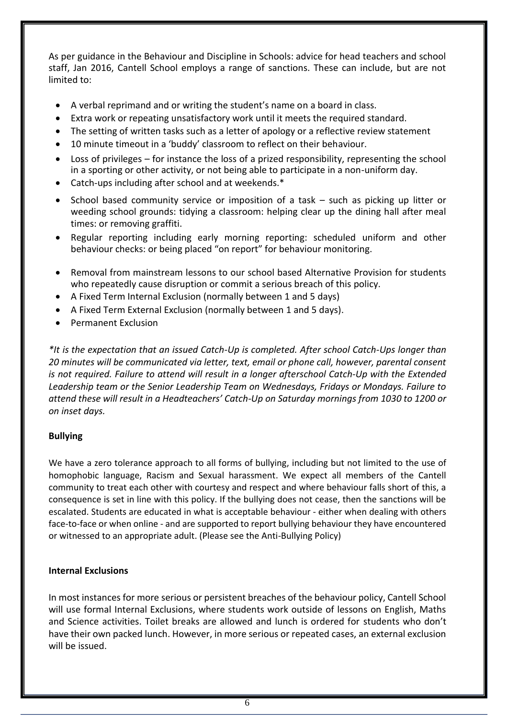As per guidance in the Behaviour and Discipline in Schools: advice for head teachers and school staff, Jan 2016, Cantell School employs a range of sanctions. These can include, but are not limited to:

- A verbal reprimand and or writing the student's name on a board in class.
- Extra work or repeating unsatisfactory work until it meets the required standard.
- The setting of written tasks such as a letter of apology or a reflective review statement
- 10 minute timeout in a 'buddy' classroom to reflect on their behaviour.
- Loss of privileges for instance the loss of a prized responsibility, representing the school in a sporting or other activity, or not being able to participate in a non-uniform day.
- Catch-ups including after school and at weekends.\*
- School based community service or imposition of a task such as picking up litter or weeding school grounds: tidying a classroom: helping clear up the dining hall after meal times: or removing graffiti.
- Regular reporting including early morning reporting: scheduled uniform and other behaviour checks: or being placed "on report" for behaviour monitoring.
- Removal from mainstream lessons to our school based Alternative Provision for students who repeatedly cause disruption or commit a serious breach of this policy.
- A Fixed Term Internal Exclusion (normally between 1 and 5 days)
- A Fixed Term External Exclusion (normally between 1 and 5 days).
- Permanent Exclusion

*\*It is the expectation that an issued Catch-Up is completed. After school Catch-Ups longer than 20 minutes will be communicated via letter, text, email or phone call, however, parental consent is not required. Failure to attend will result in a longer afterschool Catch-Up with the Extended Leadership team or the Senior Leadership Team on Wednesdays, Fridays or Mondays. Failure to attend these will result in a Headteachers' Catch-Up on Saturday mornings from 1030 to 1200 or on inset days.*

#### **Bullying**

We have a zero tolerance approach to all forms of bullying, including but not limited to the use of homophobic language, Racism and Sexual harassment. We expect all members of the Cantell community to treat each other with courtesy and respect and where behaviour falls short of this, a consequence is set in line with this policy. If the bullying does not cease, then the sanctions will be escalated. Students are educated in what is acceptable behaviour - either when dealing with others face-to-face or when online - and are supported to report bullying behaviour they have encountered or witnessed to an appropriate adult. (Please see the Anti-Bullying Policy)

#### **Internal Exclusions**

In most instances for more serious or persistent breaches of the behaviour policy, Cantell School will use formal Internal Exclusions, where students work outside of lessons on English, Maths and Science activities. Toilet breaks are allowed and lunch is ordered for students who don't have their own packed lunch. However, in more serious or repeated cases, an external exclusion will be issued.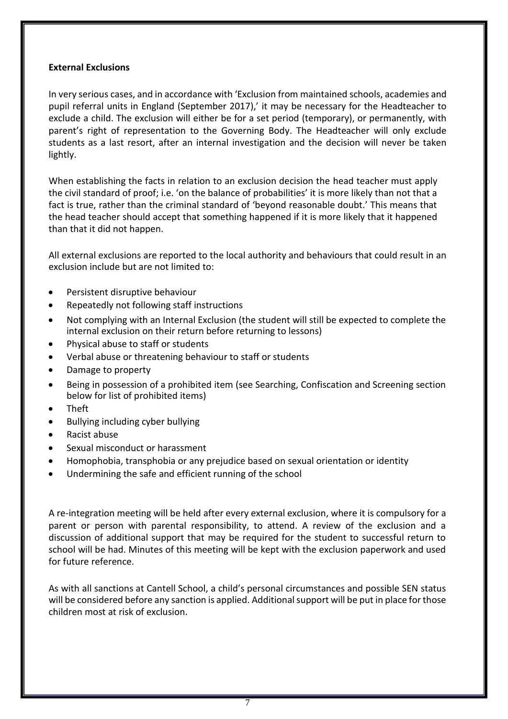### **External Exclusions**

In very serious cases, and in accordance with 'Exclusion from maintained schools, academies and pupil referral units in England (September 2017),' it may be necessary for the Headteacher to exclude a child. The exclusion will either be for a set period (temporary), or permanently, with parent's right of representation to the Governing Body. The Headteacher will only exclude students as a last resort, after an internal investigation and the decision will never be taken lightly.

When establishing the facts in relation to an exclusion decision the head teacher must apply the civil standard of proof; i.e. 'on the balance of probabilities' it is more likely than not that a fact is true, rather than the criminal standard of 'beyond reasonable doubt.' This means that the head teacher should accept that something happened if it is more likely that it happened than that it did not happen.

All external exclusions are reported to the local authority and behaviours that could result in an exclusion include but are not limited to:

- Persistent disruptive behaviour
- Repeatedly not following staff instructions
- Not complying with an Internal Exclusion (the student will still be expected to complete the internal exclusion on their return before returning to lessons)
- Physical abuse to staff or students
- Verbal abuse or threatening behaviour to staff or students
- Damage to property
- Being in possession of a prohibited item (see Searching, Confiscation and Screening section below for list of prohibited items)
- Theft
- Bullying including cyber bullying
- Racist abuse
- Sexual misconduct or harassment
- Homophobia, transphobia or any prejudice based on sexual orientation or identity
- Undermining the safe and efficient running of the school

A re-integration meeting will be held after every external exclusion, where it is compulsory for a parent or person with parental responsibility, to attend. A review of the exclusion and a discussion of additional support that may be required for the student to successful return to school will be had. Minutes of this meeting will be kept with the exclusion paperwork and used for future reference.

As with all sanctions at Cantell School, a child's personal circumstances and possible SEN status will be considered before any sanction is applied. Additional support will be put in place for those children most at risk of exclusion.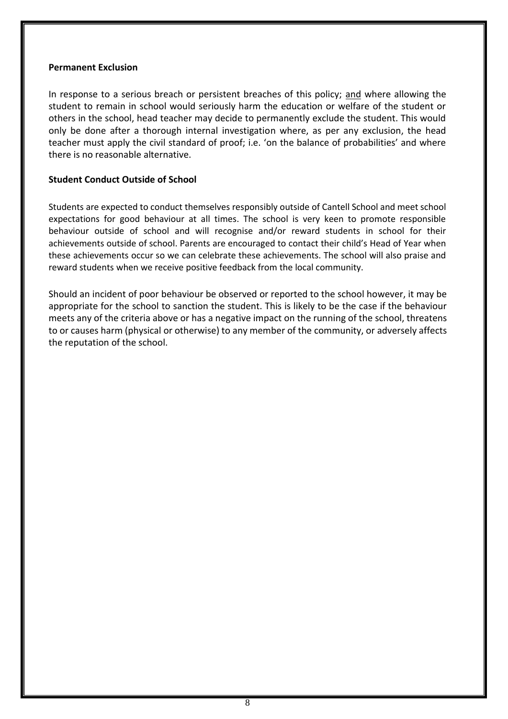#### **Permanent Exclusion**

In response to a serious breach or persistent breaches of this policy; and where allowing the student to remain in school would seriously harm the education or welfare of the student or others in the school, head teacher may decide to permanently exclude the student. This would only be done after a thorough internal investigation where, as per any exclusion, the head teacher must apply the civil standard of proof; i.e. 'on the balance of probabilities' and where there is no reasonable alternative.

### **Student Conduct Outside of School**

Students are expected to conduct themselves responsibly outside of Cantell School and meet school expectations for good behaviour at all times. The school is very keen to promote responsible behaviour outside of school and will recognise and/or reward students in school for their achievements outside of school. Parents are encouraged to contact their child's Head of Year when these achievements occur so we can celebrate these achievements. The school will also praise and reward students when we receive positive feedback from the local community.

Should an incident of poor behaviour be observed or reported to the school however, it may be appropriate for the school to sanction the student. This is likely to be the case if the behaviour meets any of the criteria above or has a negative impact on the running of the school, threatens to or causes harm (physical or otherwise) to any member of the community, or adversely affects the reputation of the school.